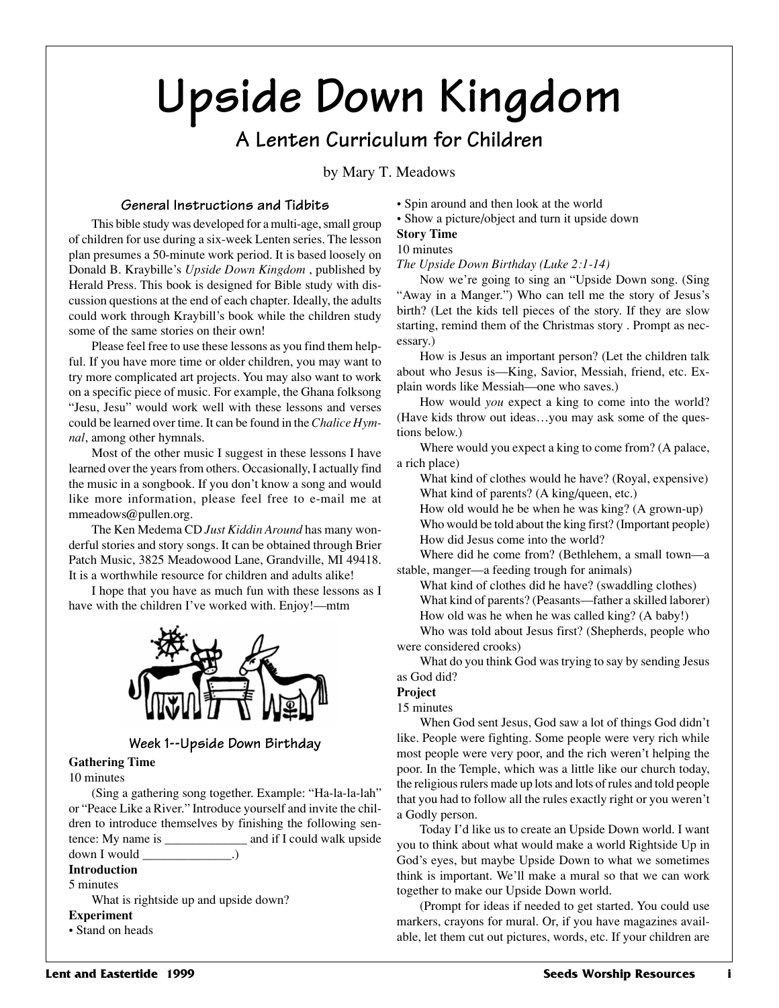# **Upside Down Kingdom**

# **A Lenten Curriculum for Children**

by Mary T. Meadows

#### **General Instructions and Tidbits**

This bible study was developed for a multi-age, small group of children for use during a six-week Lenten series. The lesson plan presumes a 50-minute work period. It is based loosely on Donald B. Kraybille's *Upside Down Kingdom* , published by Herald Press. This book is designed for Bible study with discussion questions at the end of each chapter. Ideally, the adults could work through Kraybill's book while the children study some of the same stories on their own!

Please feel free to use these lessons as you find them helpful. If you have more time or older children, you may want to try more complicated art projects. You may also want to work on a specific piece of music. For example, the Ghana folksong "Jesu, Jesu" would work well with these lessons and verses could be learned over time. It can be found in the *Chalice Hymnal*, among other hymnals.

Most of the other music I suggest in these lessons I have learned over the years from others. Occasionally, I actually find the music in a songbook. If you don't know a song and would like more information, please feel free to e-mail me at mmeadows@pullen.org.

The Ken Medema CD *Just Kiddin Around* has many wonderful stories and story songs. It can be obtained through Brier Patch Music, 3825 Meadowood Lane, Grandville, MI 49418. It is a worthwhile resource for children and adults alike!

I hope that you have as much fun with these lessons as I have with the children I've worked with. Enjoy!—mtm



**Week 1--Upside Down Birthday**

#### **Gathering Time**

10 minutes

(Sing a gathering song together. Example: "Ha-la-la-lah" or "Peace Like a River." Introduce yourself and invite the children to introduce themselves by finishing the following sentence: My name is \_\_\_\_\_\_\_\_\_\_\_\_\_ and if I could walk upside down I would

#### **Introduction**

5 minutes

What is rightside up and upside down?

## **Experiment**

• Stand on heads

- Spin around and then look at the world
- Show a picture/object and turn it upside down

#### **Story Time**

10 minutes

*The Upside Down Birthday (Luke 2:1-14)*

Now we're going to sing an "Upside Down song. (Sing "Away in a Manger.") Who can tell me the story of Jesus's birth? (Let the kids tell pieces of the story. If they are slow starting, remind them of the Christmas story . Prompt as necessary.)

How is Jesus an important person? (Let the children talk about who Jesus is—King, Savior, Messiah, friend, etc. Explain words like Messiah—one who saves.)

How would *you* expect a king to come into the world? (Have kids throw out ideas…you may ask some of the questions below.)

Where would you expect a king to come from? (A palace, a rich place)

What kind of clothes would he have? (Royal, expensive) What kind of parents? (A king/queen, etc.)

How old would he be when he was king? (A grown-up) Who would be told about the king first? (Important people) How did Jesus come into the world?

Where did he come from? (Bethlehem, a small town—a stable, manger—a feeding trough for animals)

What kind of clothes did he have? (swaddling clothes) What kind of parents? (Peasants—father a skilled laborer) How old was he when he was called king? (A baby!)

Who was told about Jesus first? (Shepherds, people who were considered crooks)

What do you think God was trying to say by sending Jesus as God did?

# **Project**

15 minutes

When God sent Jesus, God saw a lot of things God didn't like. People were fighting. Some people were very rich while most people were very poor, and the rich weren't helping the poor. In the Temple, which was a little like our church today, the religious rulers made up lots and lots of rules and told people that you had to follow all the rules exactly right or you weren't a Godly person.

Today I'd like us to create an Upside Down world. I want you to think about what would make a world Rightside Up in God's eyes, but maybe Upside Down to what we sometimes think is important. We'll make a mural so that we can work together to make our Upside Down world.

(Prompt for ideas if needed to get started. You could use markers, crayons for mural. Or, if you have magazines available, let them cut out pictures, words, etc. If your children are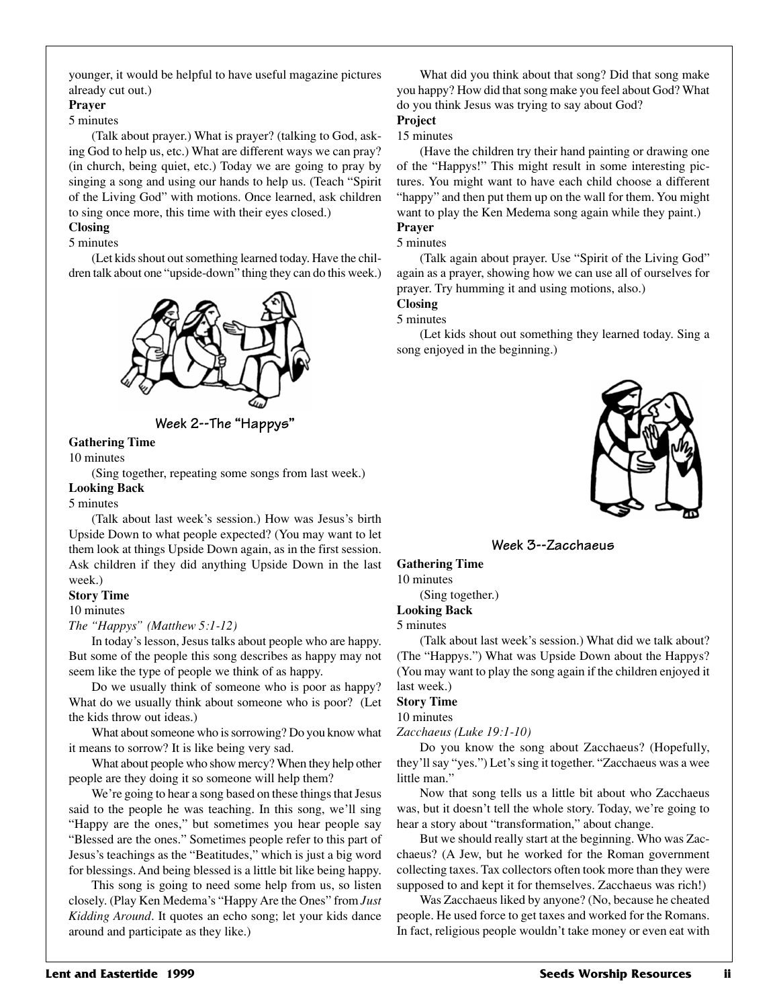younger, it would be helpful to have useful magazine pictures already cut out.)

#### **Prayer**

#### 5 minutes

(Talk about prayer.) What is prayer? (talking to God, asking God to help us, etc.) What are different ways we can pray? (in church, being quiet, etc.) Today we are going to pray by singing a song and using our hands to help us. (Teach "Spirit of the Living God" with motions. Once learned, ask children to sing once more, this time with their eyes closed.)

#### **Closing**

#### 5 minutes

(Let kids shout out something learned today. Have the children talk about one "upside-down" thing they can do this week.)



**Week 2--The "Happys"**

## **Gathering Time**

#### 10 minutes

(Sing together, repeating some songs from last week.)

# **Looking Back**

#### 5 minutes

(Talk about last week's session.) How was Jesus's birth Upside Down to what people expected? (You may want to let them look at things Upside Down again, as in the first session. Ask children if they did anything Upside Down in the last week.)

#### **Story Time**

#### 10 minutes

*The "Happys" (Matthew 5:1-12)*

In today's lesson, Jesus talks about people who are happy. But some of the people this song describes as happy may not seem like the type of people we think of as happy.

Do we usually think of someone who is poor as happy? What do we usually think about someone who is poor? (Let the kids throw out ideas.)

What about someone who is sorrowing? Do you know what it means to sorrow? It is like being very sad.

What about people who show mercy? When they help other people are they doing it so someone will help them?

We're going to hear a song based on these things that Jesus said to the people he was teaching. In this song, we'll sing "Happy are the ones," but sometimes you hear people say "Blessed are the ones." Sometimes people refer to this part of Jesus's teachings as the "Beatitudes," which is just a big word for blessings. And being blessed is a little bit like being happy.

This song is going to need some help from us, so listen closely. (Play Ken Medema's "Happy Are the Ones" from *Just Kidding Around*. It quotes an echo song; let your kids dance around and participate as they like.)

What did you think about that song? Did that song make you happy? How did that song make you feel about God? What do you think Jesus was trying to say about God?

# **Project**

## 15 minutes

(Have the children try their hand painting or drawing one of the "Happys!" This might result in some interesting pictures. You might want to have each child choose a different "happy" and then put them up on the wall for them. You might want to play the Ken Medema song again while they paint.) **Prayer**

#### 5 minutes

(Talk again about prayer. Use "Spirit of the Living God" again as a prayer, showing how we can use all of ourselves for prayer. Try humming it and using motions, also.)

#### **Closing**

#### 5 minutes

(Let kids shout out something they learned today. Sing a song enjoyed in the beginning.)



**Week 3--Zacchaeus**

# **Gathering Time**

10 minutes (Sing together.)

## **Looking Back**

5 minutes

(Talk about last week's session.) What did we talk about? (The "Happys.") What was Upside Down about the Happys? (You may want to play the song again if the children enjoyed it last week.)

#### **Story Time**

10 minutes

#### *Zacchaeus (Luke 19:1-10)*

Do you know the song about Zacchaeus? (Hopefully, they'll say "yes.") Let's sing it together. "Zacchaeus was a wee little man.'

Now that song tells us a little bit about who Zacchaeus was, but it doesn't tell the whole story. Today, we're going to hear a story about "transformation," about change.

But we should really start at the beginning. Who was Zacchaeus? (A Jew, but he worked for the Roman government collecting taxes. Tax collectors often took more than they were supposed to and kept it for themselves. Zacchaeus was rich!)

Was Zacchaeus liked by anyone? (No, because he cheated people. He used force to get taxes and worked for the Romans. In fact, religious people wouldn't take money or even eat with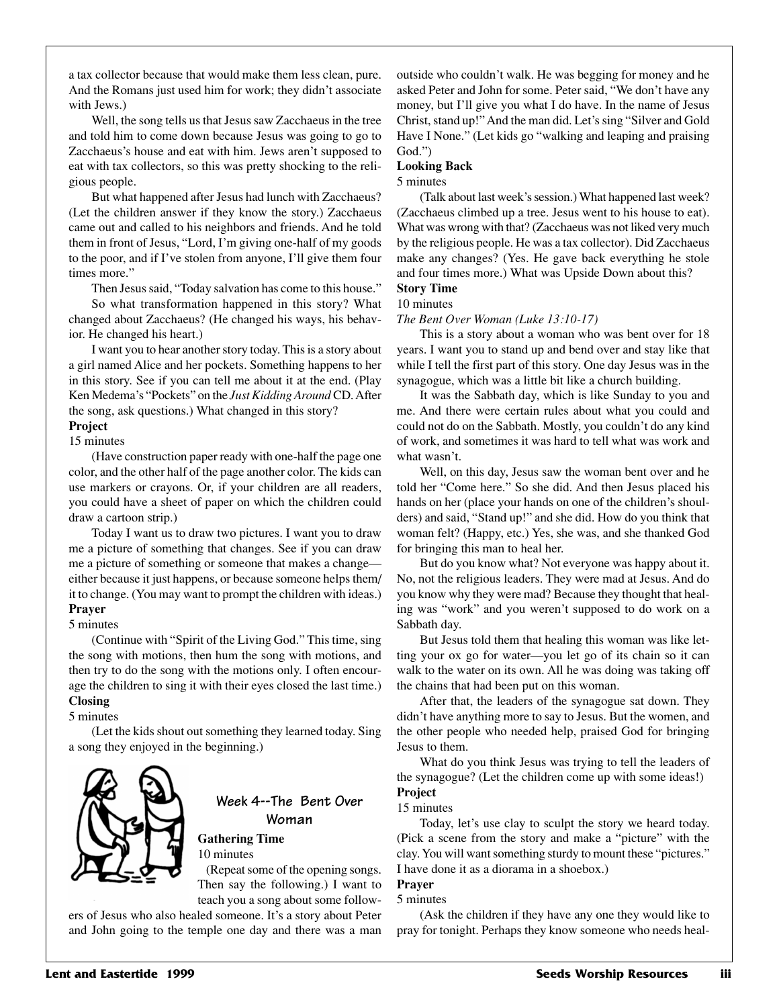a tax collector because that would make them less clean, pure. And the Romans just used him for work; they didn't associate with Jews.)

Well, the song tells us that Jesus saw Zacchaeus in the tree and told him to come down because Jesus was going to go to Zacchaeus's house and eat with him. Jews aren't supposed to eat with tax collectors, so this was pretty shocking to the religious people.

But what happened after Jesus had lunch with Zacchaeus? (Let the children answer if they know the story.) Zacchaeus came out and called to his neighbors and friends. And he told them in front of Jesus, "Lord, I'm giving one-half of my goods to the poor, and if I've stolen from anyone, I'll give them four times more."

Then Jesus said, "Today salvation has come to this house."

So what transformation happened in this story? What changed about Zacchaeus? (He changed his ways, his behavior. He changed his heart.)

I want you to hear another story today. This is a story about a girl named Alice and her pockets. Something happens to her in this story. See if you can tell me about it at the end. (Play Ken Medema's "Pockets" on the *Just Kidding Around* CD. After the song, ask questions.) What changed in this story?

## **Project**

15 minutes

(Have construction paper ready with one-half the page one color, and the other half of the page another color. The kids can use markers or crayons. Or, if your children are all readers, you could have a sheet of paper on which the children could draw a cartoon strip.)

Today I want us to draw two pictures. I want you to draw me a picture of something that changes. See if you can draw me a picture of something or someone that makes a change either because it just happens, or because someone helps them/ it to change. (You may want to prompt the children with ideas.) **Prayer**

#### 5 minutes

(Continue with "Spirit of the Living God." This time, sing the song with motions, then hum the song with motions, and then try to do the song with the motions only. I often encourage the children to sing it with their eyes closed the last time.)

# **Closing**

5 minutes

(Let the kids shout out something they learned today. Sing a song they enjoyed in the beginning.)



# **Week 4--The Bent Over Woman**

**Gathering Time**

10 minutes (Repeat some of the opening songs. Then say the following.) I want to teach you a song about some follow-

ers of Jesus who also healed someone. It's a story about Peter and John going to the temple one day and there was a man

outside who couldn't walk. He was begging for money and he asked Peter and John for some. Peter said, "We don't have any money, but I'll give you what I do have. In the name of Jesus Christ, stand up!" And the man did. Let's sing "Silver and Gold Have I None." (Let kids go "walking and leaping and praising God.")

#### **Looking Back**

#### 5 minutes

(Talk about last week's session.) What happened last week? (Zacchaeus climbed up a tree. Jesus went to his house to eat). What was wrong with that? (Zacchaeus was not liked very much by the religious people. He was a tax collector). Did Zacchaeus make any changes? (Yes. He gave back everything he stole and four times more.) What was Upside Down about this? **Story Time**

# 10 minutes

*The Bent Over Woman (Luke 13:10-17)*

This is a story about a woman who was bent over for 18 years. I want you to stand up and bend over and stay like that while I tell the first part of this story. One day Jesus was in the synagogue, which was a little bit like a church building.

It was the Sabbath day, which is like Sunday to you and me. And there were certain rules about what you could and could not do on the Sabbath. Mostly, you couldn't do any kind of work, and sometimes it was hard to tell what was work and what wasn't.

Well, on this day, Jesus saw the woman bent over and he told her "Come here." So she did. And then Jesus placed his hands on her (place your hands on one of the children's shoulders) and said, "Stand up!" and she did. How do you think that woman felt? (Happy, etc.) Yes, she was, and she thanked God for bringing this man to heal her.

But do you know what? Not everyone was happy about it. No, not the religious leaders. They were mad at Jesus. And do you know why they were mad? Because they thought that healing was "work" and you weren't supposed to do work on a Sabbath day.

But Jesus told them that healing this woman was like letting your ox go for water—you let go of its chain so it can walk to the water on its own. All he was doing was taking off the chains that had been put on this woman.

After that, the leaders of the synagogue sat down. They didn't have anything more to say to Jesus. But the women, and the other people who needed help, praised God for bringing Jesus to them.

What do you think Jesus was trying to tell the leaders of the synagogue? (Let the children come up with some ideas!) **Project**

#### 15 minutes

Today, let's use clay to sculpt the story we heard today. (Pick a scene from the story and make a "picture" with the clay. You will want something sturdy to mount these "pictures." I have done it as a diorama in a shoebox.)

#### **Prayer** 5 minutes

(Ask the children if they have any one they would like to pray for tonight. Perhaps they know someone who needs heal-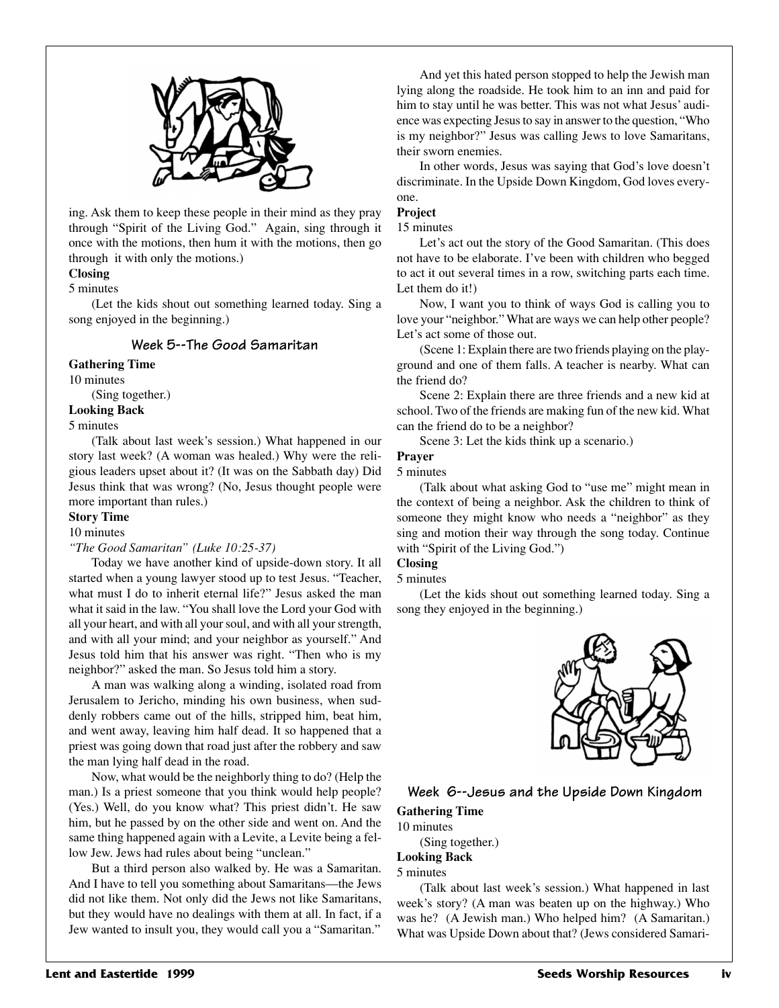

ing. Ask them to keep these people in their mind as they pray through "Spirit of the Living God." Again, sing through it once with the motions, then hum it with the motions, then go through it with only the motions.)

# **Closing**

## 5 minutes

(Let the kids shout out something learned today. Sing a song enjoyed in the beginning.)

#### **Week 5--The Good Samaritan**

## **Gathering Time**

10 minutes

(Sing together.)

# **Looking Back**

#### 5 minutes

(Talk about last week's session.) What happened in our story last week? (A woman was healed.) Why were the religious leaders upset about it? (It was on the Sabbath day) Did Jesus think that was wrong? (No, Jesus thought people were more important than rules.)

#### **Story Time**

10 minutes

#### *"The Good Samaritan" (Luke 10:25-37)*

Today we have another kind of upside-down story. It all started when a young lawyer stood up to test Jesus. "Teacher, what must I do to inherit eternal life?" Jesus asked the man what it said in the law. "You shall love the Lord your God with all your heart, and with all your soul, and with all your strength, and with all your mind; and your neighbor as yourself." And Jesus told him that his answer was right. "Then who is my neighbor?" asked the man. So Jesus told him a story.

A man was walking along a winding, isolated road from Jerusalem to Jericho, minding his own business, when suddenly robbers came out of the hills, stripped him, beat him, and went away, leaving him half dead. It so happened that a priest was going down that road just after the robbery and saw the man lying half dead in the road.

Now, what would be the neighborly thing to do? (Help the man.) Is a priest someone that you think would help people? (Yes.) Well, do you know what? This priest didn't. He saw him, but he passed by on the other side and went on. And the same thing happened again with a Levite, a Levite being a fellow Jew. Jews had rules about being "unclean."

But a third person also walked by. He was a Samaritan. And I have to tell you something about Samaritans—the Jews did not like them. Not only did the Jews not like Samaritans, but they would have no dealings with them at all. In fact, if a Jew wanted to insult you, they would call you a "Samaritan."

And yet this hated person stopped to help the Jewish man lying along the roadside. He took him to an inn and paid for him to stay until he was better. This was not what Jesus' audience was expecting Jesus to say in answer to the question, "Who is my neighbor?" Jesus was calling Jews to love Samaritans, their sworn enemies.

In other words, Jesus was saying that God's love doesn't discriminate. In the Upside Down Kingdom, God loves everyone.

## **Project**

#### 15 minutes

Let's act out the story of the Good Samaritan. (This does not have to be elaborate. I've been with children who begged to act it out several times in a row, switching parts each time. Let them do it!)

Now, I want you to think of ways God is calling you to love your "neighbor." What are ways we can help other people? Let's act some of those out.

(Scene 1: Explain there are two friends playing on the playground and one of them falls. A teacher is nearby. What can the friend do?

Scene 2: Explain there are three friends and a new kid at school. Two of the friends are making fun of the new kid. What can the friend do to be a neighbor?

Scene 3: Let the kids think up a scenario.)

#### **Prayer**

#### 5 minutes

(Talk about what asking God to "use me" might mean in the context of being a neighbor. Ask the children to think of someone they might know who needs a "neighbor" as they sing and motion their way through the song today. Continue with "Spirit of the Living God.")

# **Closing**

## 5 minutes

(Let the kids shout out something learned today. Sing a song they enjoyed in the beginning.)



# **Week 6--Jesus and the Upside Down Kingdom Gathering Time**

#### 10 minutes

(Sing together.)

# **Looking Back**

5 minutes

(Talk about last week's session.) What happened in last week's story? (A man was beaten up on the highway.) Who was he? (A Jewish man.) Who helped him? (A Samaritan.) What was Upside Down about that? (Jews considered Samari